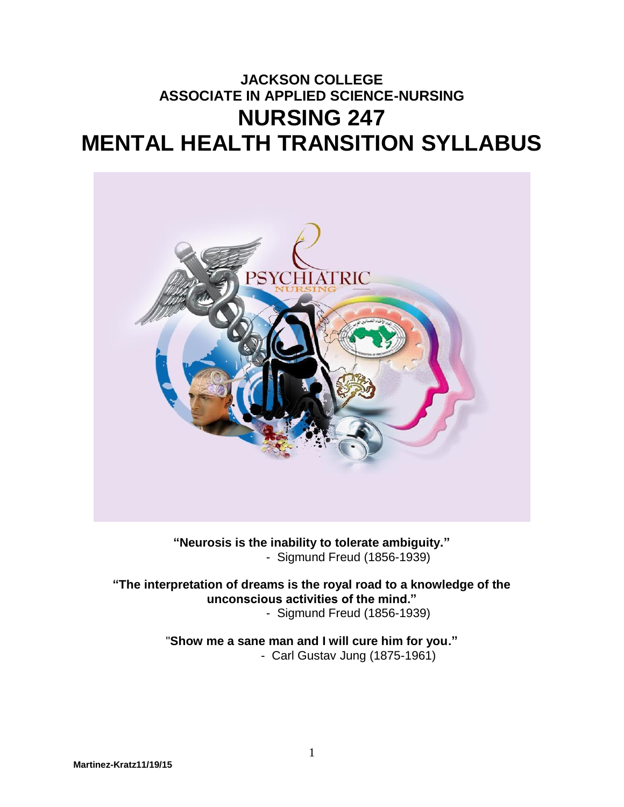# **JACKSON COLLEGE ASSOCIATE IN APPLIED SCIENCE-NURSING NURSING 247 MENTAL HEALTH TRANSITION SYLLABUS**



**"Neurosis is the inability to tolerate ambiguity."** - Sigmund Freud (1856-1939)

**"The interpretation of dreams is the royal road to a knowledge of the unconscious activities of the mind."** - Sigmund Freud (1856-1939)

> "**Show me a sane man and I will cure him for you."** - Carl Gustav Jung (1875-1961)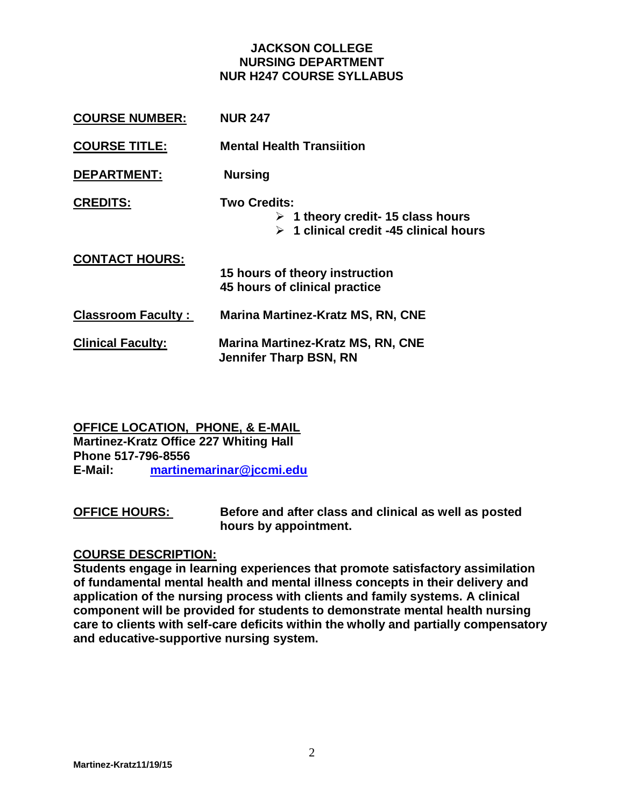#### **JACKSON COLLEGE NURSING DEPARTMENT NUR H247 COURSE SYLLABUS**

| <b>COURSE NUMBER:</b>     | <b>NUR 247</b>                                                                                                            |
|---------------------------|---------------------------------------------------------------------------------------------------------------------------|
| <b>COURSE TITLE:</b>      | <b>Mental Health Transiition</b>                                                                                          |
| <b>DEPARTMENT:</b>        | <b>Nursing</b>                                                                                                            |
| <b>CREDITS:</b>           | Two Credits:<br>$\triangleright$ 1 theory credit- 15 class hours<br>$\triangleright$ 1 clinical credit -45 clinical hours |
| <b>CONTACT HOURS:</b>     | 15 hours of theory instruction<br>45 hours of clinical practice                                                           |
| <b>Classroom Faculty:</b> | <b>Marina Martinez-Kratz MS, RN, CNE</b>                                                                                  |
| <b>Clinical Faculty:</b>  | <b>Marina Martinez-Kratz MS, RN, CNE</b><br><b>Jennifer Tharp BSN, RN</b>                                                 |

**OFFICE LOCATION, PHONE, & E-MAIL Martinez-Kratz Office 227 Whiting Hall Phone 517-796-8556 E-Mail: [martinemarinar@jccmi.edu](mailto:martinemarinar@jccmi.edu)**

**OFFICE HOURS: Before and after class and clinical as well as posted hours by appointment.**

#### **COURSE DESCRIPTION:**

**Students engage in learning experiences that promote satisfactory assimilation of fundamental mental health and mental illness concepts in their delivery and application of the nursing process with clients and family systems. A clinical component will be provided for students to demonstrate mental health nursing care to clients with self-care deficits within the wholly and partially compensatory and educative-supportive nursing system.**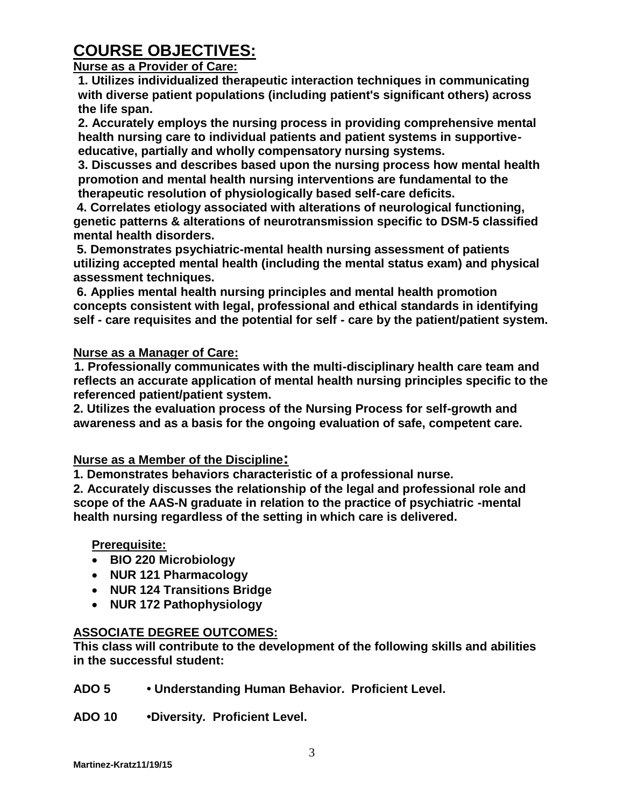# **COURSE OBJECTIVES:**

#### **Nurse as a Provider of Care:**

**1. Utilizes individualized therapeutic interaction techniques in communicating with diverse patient populations (including patient's significant others) across the life span.**

**2. Accurately employs the nursing process in providing comprehensive mental health nursing care to individual patients and patient systems in supportiveeducative, partially and wholly compensatory nursing systems.**

**3. Discusses and describes based upon the nursing process how mental health promotion and mental health nursing interventions are fundamental to the therapeutic resolution of physiologically based self-care deficits.**

**4. Correlates etiology associated with alterations of neurological functioning, genetic patterns & alterations of neurotransmission specific to DSM-5 classified mental health disorders.**

**5. Demonstrates psychiatric-mental health nursing assessment of patients utilizing accepted mental health (including the mental status exam) and physical assessment techniques.**

**6. Applies mental health nursing principles and mental health promotion concepts consistent with legal, professional and ethical standards in identifying self - care requisites and the potential for self - care by the patient/patient system.**

### **Nurse as a Manager of Care:**

 **1. Professionally communicates with the multi-disciplinary health care team and reflects an accurate application of mental health nursing principles specific to the referenced patient/patient system.**

**2. Utilizes the evaluation process of the Nursing Process for self-growth and awareness and as a basis for the ongoing evaluation of safe, competent care.**

#### **Nurse as a Member of the Discipline:**

**1. Demonstrates behaviors characteristic of a professional nurse.**

**2. Accurately discusses the relationship of the legal and professional role and scope of the AAS-N graduate in relation to the practice of psychiatric -mental health nursing regardless of the setting in which care is delivered.**

#### **Prerequisite:**

- **BIO 220 Microbiology**
- **NUR 121 Pharmacology**
- **NUR 124 Transitions Bridge**
- **NUR 172 Pathophysiology**

### **ASSOCIATE DEGREE OUTCOMES:**

**This class will contribute to the development of the following skills and abilities in the successful student:**

- **ADO 5 Understanding Human Behavior. Proficient Level.**
- **ADO 10 •Diversity. Proficient Level.**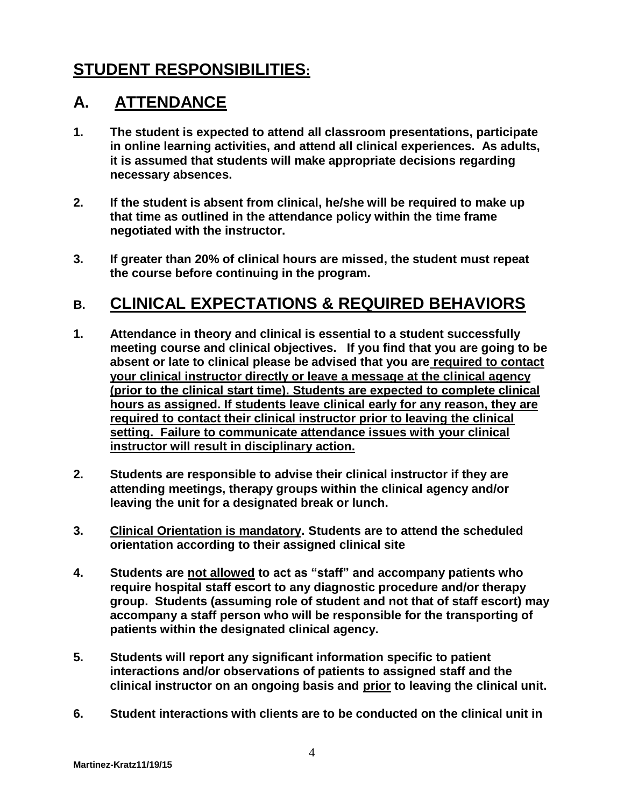# **STUDENT RESPONSIBILITIES:**

## **A. ATTENDANCE**

- **1. The student is expected to attend all classroom presentations, participate in online learning activities, and attend all clinical experiences. As adults, it is assumed that students will make appropriate decisions regarding necessary absences.**
- **2. If the student is absent from clinical, he/she will be required to make up that time as outlined in the attendance policy within the time frame negotiated with the instructor.**
- **3. If greater than 20% of clinical hours are missed, the student must repeat the course before continuing in the program.**

## **B. CLINICAL EXPECTATIONS & REQUIRED BEHAVIORS**

- **1. Attendance in theory and clinical is essential to a student successfully meeting course and clinical objectives. If you find that you are going to be absent or late to clinical please be advised that you are required to contact your clinical instructor directly or leave a message at the clinical agency (prior to the clinical start time). Students are expected to complete clinical hours as assigned. If students leave clinical early for any reason, they are required to contact their clinical instructor prior to leaving the clinical setting. Failure to communicate attendance issues with your clinical instructor will result in disciplinary action.**
- **2. Students are responsible to advise their clinical instructor if they are attending meetings, therapy groups within the clinical agency and/or leaving the unit for a designated break or lunch.**
- **3. Clinical Orientation is mandatory. Students are to attend the scheduled orientation according to their assigned clinical site**
- **4. Students are not allowed to act as "staff" and accompany patients who require hospital staff escort to any diagnostic procedure and/or therapy group. Students (assuming role of student and not that of staff escort) may accompany a staff person who will be responsible for the transporting of patients within the designated clinical agency.**
- **5. Students will report any significant information specific to patient interactions and/or observations of patients to assigned staff and the clinical instructor on an ongoing basis and prior to leaving the clinical unit.**
- **6. Student interactions with clients are to be conducted on the clinical unit in**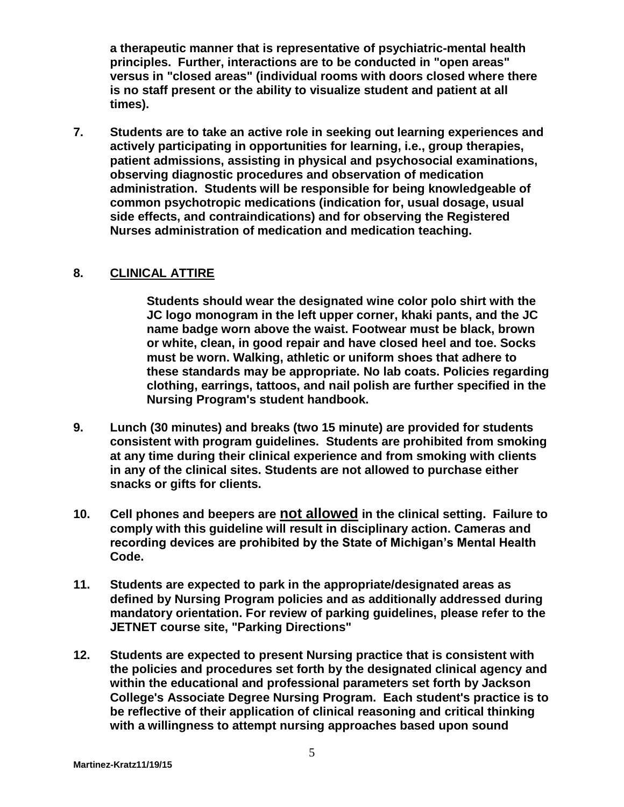**a therapeutic manner that is representative of psychiatric-mental health principles. Further, interactions are to be conducted in "open areas" versus in "closed areas" (individual rooms with doors closed where there is no staff present or the ability to visualize student and patient at all times).** 

**7. Students are to take an active role in seeking out learning experiences and actively participating in opportunities for learning, i.e., group therapies, patient admissions, assisting in physical and psychosocial examinations, observing diagnostic procedures and observation of medication administration. Students will be responsible for being knowledgeable of common psychotropic medications (indication for, usual dosage, usual side effects, and contraindications) and for observing the Registered Nurses administration of medication and medication teaching.**

### **8. CLINICAL ATTIRE**

**Students should wear the designated wine color polo shirt with the JC logo monogram in the left upper corner, khaki pants, and the JC name badge worn above the waist. Footwear must be black, brown or white, clean, in good repair and have closed heel and toe. Socks must be worn. Walking, athletic or uniform shoes that adhere to these standards may be appropriate. No lab coats. Policies regarding clothing, earrings, tattoos, and nail polish are further specified in the Nursing Program's student handbook.** 

- **9. Lunch (30 minutes) and breaks (two 15 minute) are provided for students consistent with program guidelines. Students are prohibited from smoking at any time during their clinical experience and from smoking with clients in any of the clinical sites. Students are not allowed to purchase either snacks or gifts for clients.**
- **10. Cell phones and beepers are not allowed in the clinical setting. Failure to comply with this guideline will result in disciplinary action. Cameras and recording devices are prohibited by the State of Michigan's Mental Health Code.**
- **11. Students are expected to park in the appropriate/designated areas as defined by Nursing Program policies and as additionally addressed during mandatory orientation. For review of parking guidelines, please refer to the JETNET course site, "Parking Directions"**
- **12. Students are expected to present Nursing practice that is consistent with the policies and procedures set forth by the designated clinical agency and within the educational and professional parameters set forth by Jackson College's Associate Degree Nursing Program. Each student's practice is to be reflective of their application of clinical reasoning and critical thinking with a willingness to attempt nursing approaches based upon sound**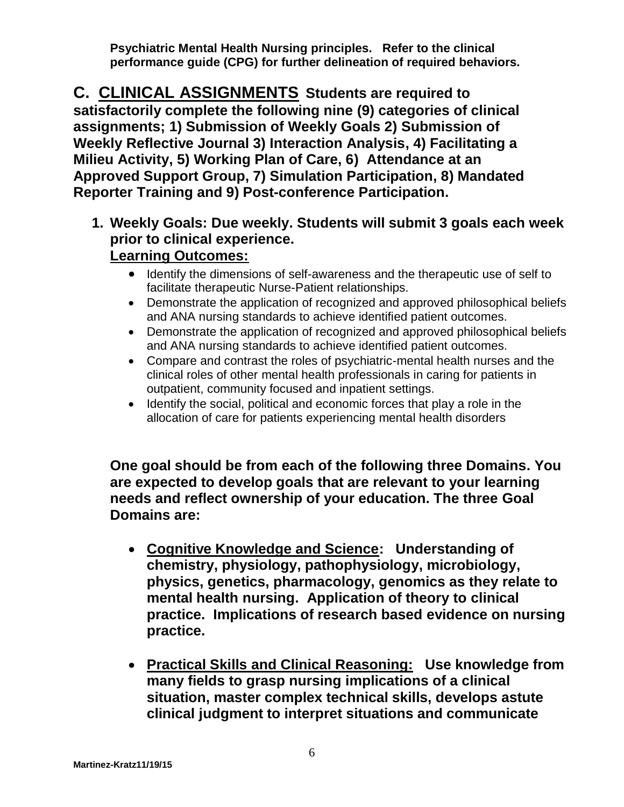**Psychiatric Mental Health Nursing principles. Refer to the clinical performance guide (CPG) for further delineation of required behaviors.**

**C. CLINICAL ASSIGNMENTS Students are required to satisfactorily complete the following nine (9) categories of clinical assignments; 1) Submission of Weekly Goals 2) Submission of Weekly Reflective Journal 3) Interaction Analysis, 4) Facilitating a Milieu Activity, 5) Working Plan of Care, 6) Attendance at an Approved Support Group, 7) Simulation Participation, 8) Mandated Reporter Training and 9) Post-conference Participation.**

- **1. Weekly Goals: Due weekly. Students will submit 3 goals each week prior to clinical experience. Learning Outcomes:**
	- Identify the dimensions of self-awareness and the therapeutic use of self to facilitate therapeutic Nurse-Patient relationships.
	- Demonstrate the application of recognized and approved philosophical beliefs and ANA nursing standards to achieve identified patient outcomes.
	- Demonstrate the application of recognized and approved philosophical beliefs and ANA nursing standards to achieve identified patient outcomes.
	- Compare and contrast the roles of psychiatric-mental health nurses and the clinical roles of other mental health professionals in caring for patients in outpatient, community focused and inpatient settings.
	- Identify the social, political and economic forces that play a role in the allocation of care for patients experiencing mental health disorders

**One goal should be from each of the following three Domains. You are expected to develop goals that are relevant to your learning needs and reflect ownership of your education. The three Goal Domains are:**

- **Cognitive Knowledge and Science: Understanding of chemistry, physiology, pathophysiology, microbiology, physics, genetics, pharmacology, genomics as they relate to mental health nursing. Application of theory to clinical practice. Implications of research based evidence on nursing practice.**
- **Practical Skills and Clinical Reasoning: Use knowledge from many fields to grasp nursing implications of a clinical situation, master complex technical skills, develops astute clinical judgment to interpret situations and communicate**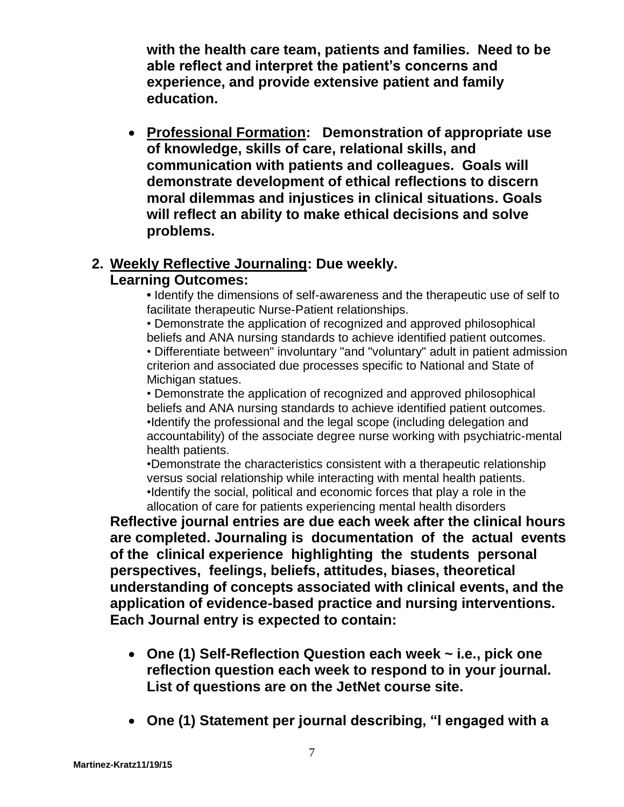**with the health care team, patients and families. Need to be able reflect and interpret the patient's concerns and experience, and provide extensive patient and family education.**

 **Professional Formation: Demonstration of appropriate use of knowledge, skills of care, relational skills, and communication with patients and colleagues. Goals will demonstrate development of ethical reflections to discern moral dilemmas and injustices in clinical situations. Goals will reflect an ability to make ethical decisions and solve problems.**

### **2. Weekly Reflective Journaling: Due weekly.**

### **Learning Outcomes:**

**•** Identify the dimensions of self-awareness and the therapeutic use of self to facilitate therapeutic Nurse-Patient relationships.

• Demonstrate the application of recognized and approved philosophical beliefs and ANA nursing standards to achieve identified patient outcomes. • Differentiate between" involuntary "and "voluntary" adult in patient admission criterion and associated due processes specific to National and State of Michigan statues.

• Demonstrate the application of recognized and approved philosophical beliefs and ANA nursing standards to achieve identified patient outcomes. •Identify the professional and the legal scope (including delegation and accountability) of the associate degree nurse working with psychiatric-mental health patients.

•Demonstrate the characteristics consistent with a therapeutic relationship versus social relationship while interacting with mental health patients. •Identify the social, political and economic forces that play a role in the allocation of care for patients experiencing mental health disorders

**Reflective journal entries are due each week after the clinical hours are completed. Journaling is documentation of the actual events of the clinical experience highlighting the students personal perspectives, feelings, beliefs, attitudes, biases, theoretical understanding of concepts associated with clinical events, and the application of evidence-based practice and nursing interventions. Each Journal entry is expected to contain:**

- **One (1) Self-Reflection Question each week ~ i.e., pick one reflection question each week to respond to in your journal. List of questions are on the JetNet course site.**
- **One (1) Statement per journal describing, "I engaged with a**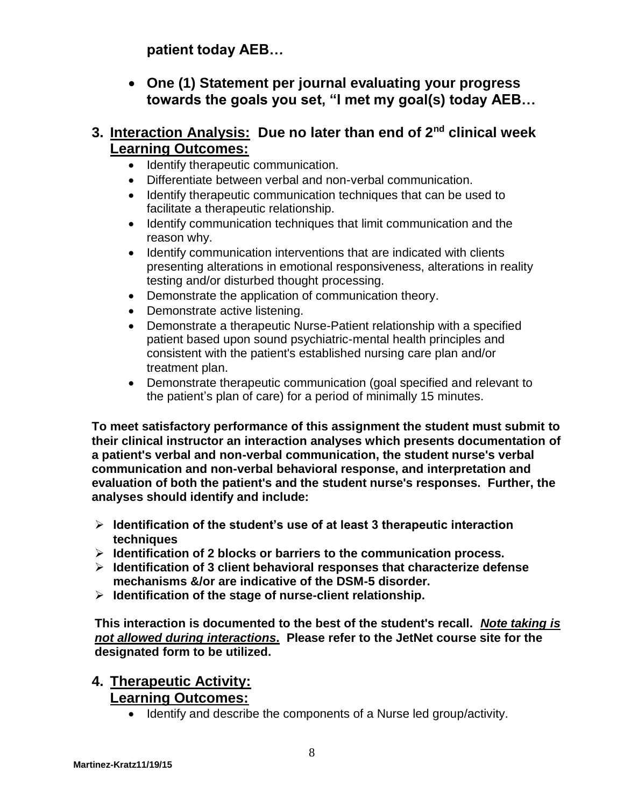**patient today AEB…**

 **One (1) Statement per journal evaluating your progress towards the goals you set, "I met my goal(s) today AEB…**

### **3. Interaction Analysis: Due no later than end of 2nd clinical week Learning Outcomes:**

- Identify therapeutic communication.
- Differentiate between verbal and non-verbal communication.
- Identify therapeutic communication techniques that can be used to facilitate a therapeutic relationship.
- Identify communication techniques that limit communication and the reason why.
- Identify communication interventions that are indicated with clients presenting alterations in emotional responsiveness, alterations in reality testing and/or disturbed thought processing.
- Demonstrate the application of communication theory.
- Demonstrate active listening.
- Demonstrate a therapeutic Nurse-Patient relationship with a specified patient based upon sound psychiatric-mental health principles and consistent with the patient's established nursing care plan and/or treatment plan.
- Demonstrate therapeutic communication (goal specified and relevant to the patient's plan of care) for a period of minimally 15 minutes.

**To meet satisfactory performance of this assignment the student must submit to their clinical instructor an interaction analyses which presents documentation of a patient's verbal and non-verbal communication, the student nurse's verbal communication and non-verbal behavioral response, and interpretation and evaluation of both the patient's and the student nurse's responses. Further, the analyses should identify and include:**

- **Identification of the student's use of at least 3 therapeutic interaction techniques**
- **Identification of 2 blocks or barriers to the communication process.**
- **Identification of 3 client behavioral responses that characterize defense mechanisms &/or are indicative of the DSM-5 disorder.**
- **Identification of the stage of nurse-client relationship.**

**This interaction is documented to the best of the student's recall.** *Note taking is not allowed during interactions***. Please refer to the JetNet course site for the designated form to be utilized.**

### **4. Therapeutic Activity: Learning Outcomes:**

• Identify and describe the components of a Nurse led group/activity.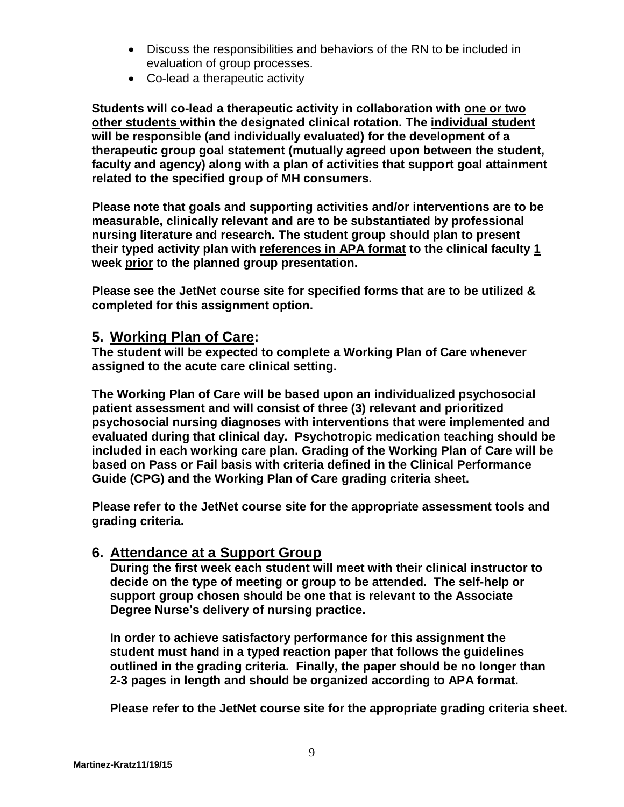- Discuss the responsibilities and behaviors of the RN to be included in evaluation of group processes.
- Co-lead a therapeutic activity

**Students will co-lead a therapeutic activity in collaboration with one or two other students within the designated clinical rotation. The individual student will be responsible (and individually evaluated) for the development of a therapeutic group goal statement (mutually agreed upon between the student, faculty and agency) along with a plan of activities that support goal attainment related to the specified group of MH consumers.** 

**Please note that goals and supporting activities and/or interventions are to be measurable, clinically relevant and are to be substantiated by professional nursing literature and research. The student group should plan to present their typed activity plan with references in APA format to the clinical faculty 1 week prior to the planned group presentation.**

**Please see the JetNet course site for specified forms that are to be utilized & completed for this assignment option.**

### **5. Working Plan of Care:**

**The student will be expected to complete a Working Plan of Care whenever assigned to the acute care clinical setting.** 

**The Working Plan of Care will be based upon an individualized psychosocial patient assessment and will consist of three (3) relevant and prioritized psychosocial nursing diagnoses with interventions that were implemented and evaluated during that clinical day. Psychotropic medication teaching should be included in each working care plan. Grading of the Working Plan of Care will be based on Pass or Fail basis with criteria defined in the Clinical Performance Guide (CPG) and the Working Plan of Care grading criteria sheet.** 

**Please refer to the JetNet course site for the appropriate assessment tools and grading criteria.**

### **6. Attendance at a Support Group**

**During the first week each student will meet with their clinical instructor to decide on the type of meeting or group to be attended. The self-help or support group chosen should be one that is relevant to the Associate Degree Nurse's delivery of nursing practice.** 

**In order to achieve satisfactory performance for this assignment the student must hand in a typed reaction paper that follows the guidelines outlined in the grading criteria. Finally, the paper should be no longer than 2-3 pages in length and should be organized according to APA format.** 

**Please refer to the JetNet course site for the appropriate grading criteria sheet.**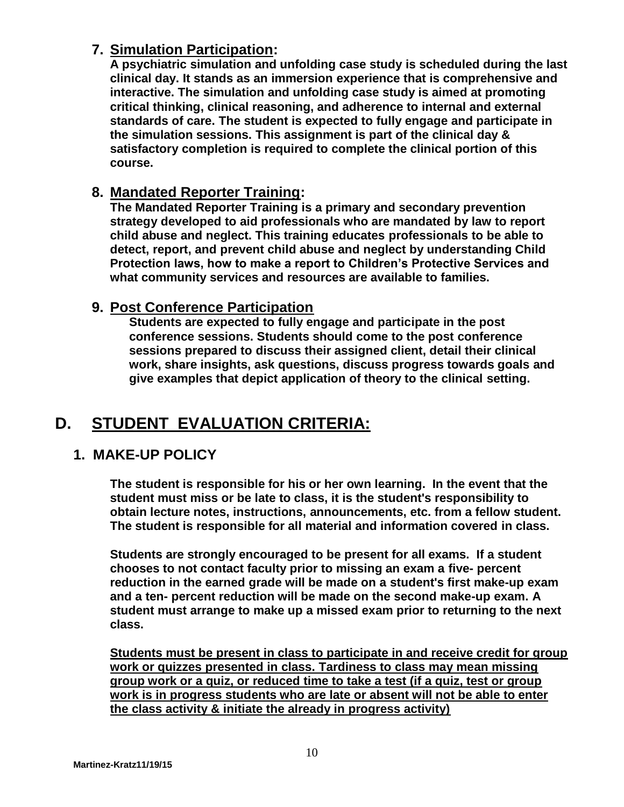### **7. Simulation Participation:**

**A psychiatric simulation and unfolding case study is scheduled during the last clinical day. It stands as an immersion experience that is comprehensive and interactive. The simulation and unfolding case study is aimed at promoting critical thinking, clinical reasoning, and adherence to internal and external standards of care. The student is expected to fully engage and participate in the simulation sessions. This assignment is part of the clinical day & satisfactory completion is required to complete the clinical portion of this course.**

### **8. Mandated Reporter Training:**

**The Mandated Reporter Training is a primary and secondary prevention strategy developed to aid professionals who are mandated by law to report child abuse and neglect. This training educates professionals to be able to detect, report, and prevent child abuse and neglect by understanding Child Protection laws, how to make a report to Children's Protective Services and what community services and resources are available to families.**

### **9. Post Conference Participation**

**Students are expected to fully engage and participate in the post conference sessions. Students should come to the post conference sessions prepared to discuss their assigned client, detail their clinical work, share insights, ask questions, discuss progress towards goals and give examples that depict application of theory to the clinical setting.** 

# **D. STUDENT EVALUATION CRITERIA:**

### **1. MAKE-UP POLICY**

**The student is responsible for his or her own learning. In the event that the student must miss or be late to class, it is the student's responsibility to obtain lecture notes, instructions, announcements, etc. from a fellow student. The student is responsible for all material and information covered in class.**

**Students are strongly encouraged to be present for all exams. If a student chooses to not contact faculty prior to missing an exam a five- percent reduction in the earned grade will be made on a student's first make-up exam and a ten- percent reduction will be made on the second make-up exam. A student must arrange to make up a missed exam prior to returning to the next class.** 

**Students must be present in class to participate in and receive credit for group work or quizzes presented in class. Tardiness to class may mean missing group work or a quiz, or reduced time to take a test (if a quiz, test or group work is in progress students who are late or absent will not be able to enter the class activity & initiate the already in progress activity)**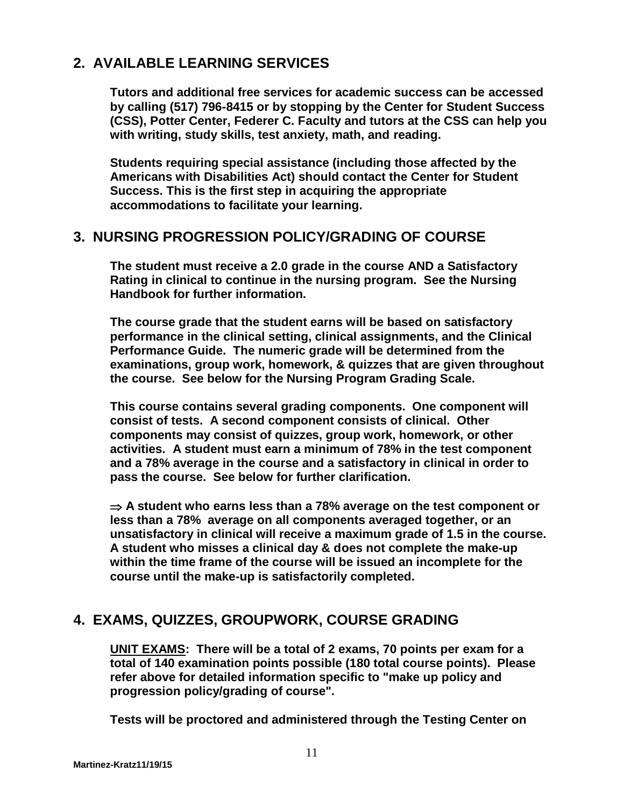### **2. AVAILABLE LEARNING SERVICES**

**Tutors and additional free services for academic success can be accessed by calling (517) 796-8415 or by stopping by the Center for Student Success (CSS), Potter Center, Federer C. Faculty and tutors at the CSS can help you with writing, study skills, test anxiety, math, and reading.**

**Students requiring special assistance (including those affected by the Americans with Disabilities Act) should contact the Center for Student Success. This is the first step in acquiring the appropriate accommodations to facilitate your learning.**

### **3. NURSING PROGRESSION POLICY/GRADING OF COURSE**

**The student must receive a 2.0 grade in the course AND a Satisfactory Rating in clinical to continue in the nursing program. See the Nursing Handbook for further information.**

**The course grade that the student earns will be based on satisfactory performance in the clinical setting, clinical assignments, and the Clinical Performance Guide. The numeric grade will be determined from the examinations, group work, homework, & quizzes that are given throughout the course. See below for the Nursing Program Grading Scale.**

**This course contains several grading components. One component will consist of tests. A second component consists of clinical. Other components may consist of quizzes, group work, homework, or other activities. A student must earn a minimum of 78% in the test component and a 78% average in the course and a satisfactory in clinical in order to pass the course. See below for further clarification.**

 **A student who earns less than a 78% average on the test component or less than a 78% average on all components averaged together, or an unsatisfactory in clinical will receive a maximum grade of 1.5 in the course. A student who misses a clinical day & does not complete the make-up within the time frame of the course will be issued an incomplete for the course until the make-up is satisfactorily completed.** 

### **4. EXAMS, QUIZZES, GROUPWORK, COURSE GRADING**

**UNIT EXAMS: There will be a total of 2 exams, 70 points per exam for a total of 140 examination points possible (180 total course points). Please refer above for detailed information specific to "make up policy and progression policy/grading of course".**

**Tests will be proctored and administered through the Testing Center on**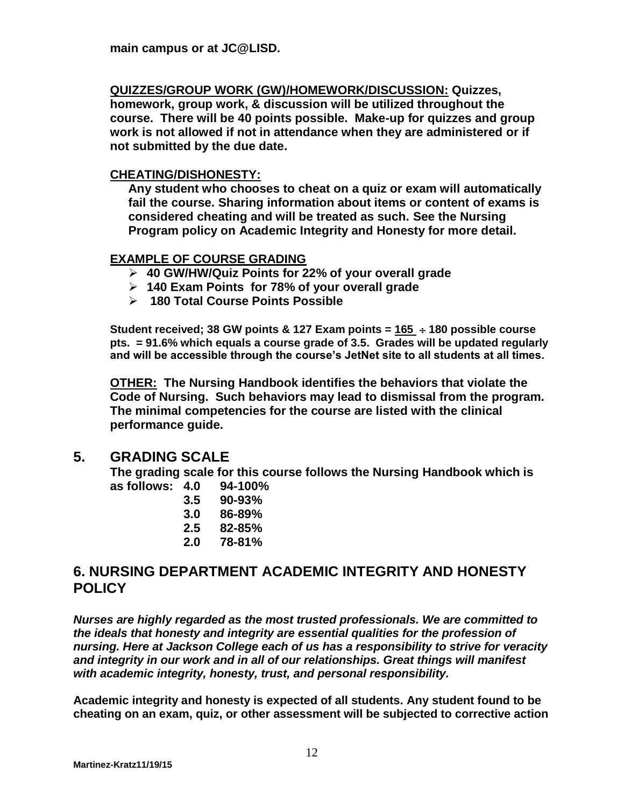**main campus or at JC@LISD.**

**QUIZZES/GROUP WORK (GW)/HOMEWORK/DISCUSSION: Quizzes,** 

**homework, group work, & discussion will be utilized throughout the course. There will be 40 points possible. Make-up for quizzes and group work is not allowed if not in attendance when they are administered or if not submitted by the due date.** 

#### **CHEATING/DISHONESTY:**

**Any student who chooses to cheat on a quiz or exam will automatically fail the course. Sharing information about items or content of exams is considered cheating and will be treated as such. See the Nursing Program policy on Academic Integrity and Honesty for more detail.**

#### **EXAMPLE OF COURSE GRADING**

- **40 GW/HW/Quiz Points for 22% of your overall grade**
- **140 Exam Points for 78% of your overall grade**
- **180 Total Course Points Possible**

**Student received; 38 GW points & 127 Exam points = 165 180 possible course pts. = 91.6% which equals a course grade of 3.5. Grades will be updated regularly and will be accessible through the course's JetNet site to all students at all times.**

**OTHER: The Nursing Handbook identifies the behaviors that violate the Code of Nursing. Such behaviors may lead to dismissal from the program. The minimal competencies for the course are listed with the clinical performance guide.**

### **5. GRADING SCALE**

**The grading scale for this course follows the Nursing Handbook which is as follows: 4.0 94-100%**

| 4.U | 34-IUU /0  |
|-----|------------|
| 3.5 | $90 - 93%$ |
| 3.0 | 86-89%     |
| 2.5 | 82-85%     |
| 2.0 | 78-81%     |
|     |            |

### **6. NURSING DEPARTMENT ACADEMIC INTEGRITY AND HONESTY POLICY**

*Nurses are highly regarded as the most trusted professionals. We are committed to the ideals that honesty and integrity are essential qualities for the profession of nursing. Here at Jackson College each of us has a responsibility to strive for veracity and integrity in our work and in all of our relationships. Great things will manifest with academic integrity, honesty, trust, and personal responsibility.* 

**Academic integrity and honesty is expected of all students. Any student found to be cheating on an exam, quiz, or other assessment will be subjected to corrective action**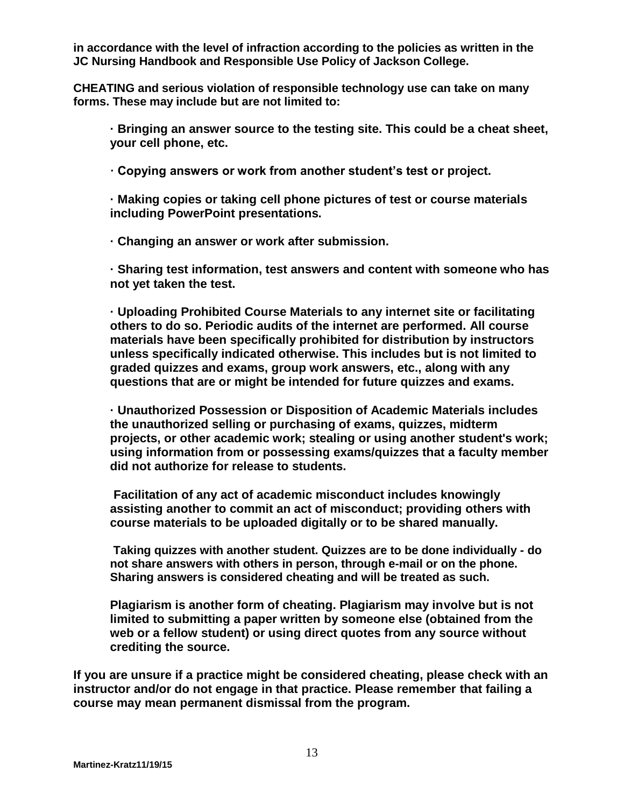**in accordance with the level of infraction according to the policies as written in the JC Nursing Handbook and Responsible Use Policy of Jackson College.** 

**CHEATING and serious violation of responsible technology use can take on many forms. These may include but are not limited to:** 

**· Bringing an answer source to the testing site. This could be a cheat sheet, your cell phone, etc.** 

**· Copying answers or work from another student's test or project.**

**· Making copies or taking cell phone pictures of test or course materials including PowerPoint presentations.**

**· Changing an answer or work after submission.**

**· Sharing test information, test answers and content with someone who has not yet taken the test.**

**· Uploading Prohibited Course Materials to any internet site or facilitating others to do so. Periodic audits of the internet are performed. All course materials have been specifically prohibited for distribution by instructors unless specifically indicated otherwise. This includes but is not limited to graded quizzes and exams, group work answers, etc., along with any questions that are or might be intended for future quizzes and exams.**

**· Unauthorized Possession or Disposition of Academic Materials includes the unauthorized selling or purchasing of exams, quizzes, midterm projects, or other academic work; stealing or using another student's work; using information from or possessing exams/quizzes that a faculty member did not authorize for release to students.**

**Facilitation of any act of academic misconduct includes knowingly assisting another to commit an act of misconduct; providing others with course materials to be uploaded digitally or to be shared manually.**

**Taking quizzes with another student. Quizzes are to be done individually - do not share answers with others in person, through e-mail or on the phone. Sharing answers is considered cheating and will be treated as such.** 

**Plagiarism is another form of cheating. Plagiarism may involve but is not limited to submitting a paper written by someone else (obtained from the web or a fellow student) or using direct quotes from any source without crediting the source.** 

**If you are unsure if a practice might be considered cheating, please check with an instructor and/or do not engage in that practice. Please remember that failing a course may mean permanent dismissal from the program.**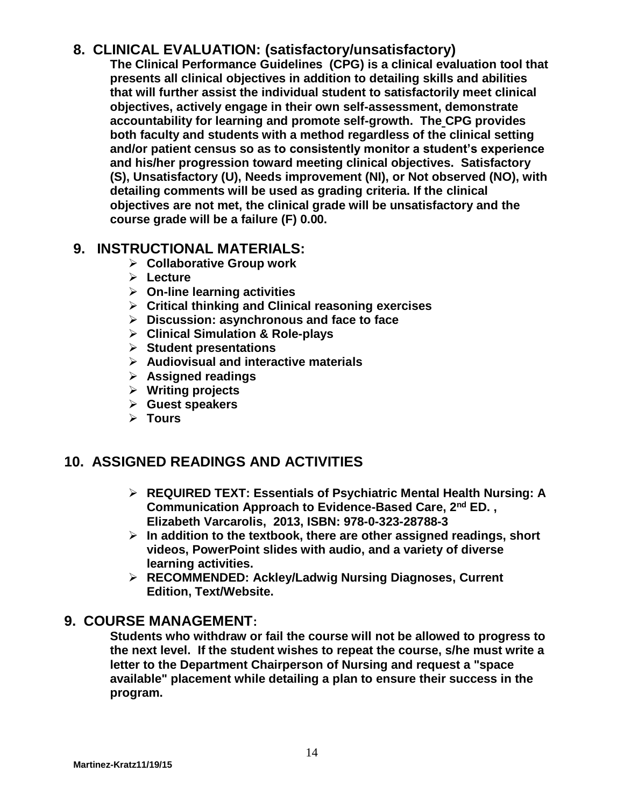### **8. CLINICAL EVALUATION: (satisfactory/unsatisfactory)**

**The Clinical Performance Guidelines (CPG) is a clinical evaluation tool that presents all clinical objectives in addition to detailing skills and abilities that will further assist the individual student to satisfactorily meet clinical objectives, actively engage in their own self-assessment, demonstrate accountability for learning and promote self-growth. The CPG provides both faculty and students with a method regardless of the clinical setting and/or patient census so as to consistently monitor a student's experience and his/her progression toward meeting clinical objectives. Satisfactory (S), Unsatisfactory (U), Needs improvement (NI), or Not observed (NO), with detailing comments will be used as grading criteria. If the clinical objectives are not met, the clinical grade will be unsatisfactory and the course grade will be a failure (F) 0.00.** 

### **9. INSTRUCTIONAL MATERIALS:**

- **Collaborative Group work**
- **Lecture**
- **On-line learning activities**
- **Critical thinking and Clinical reasoning exercises**
- **Discussion: asynchronous and face to face**
- **Clinical Simulation & Role-plays**
- **Student presentations**
- **Audiovisual and interactive materials**
- **Assigned readings**
- **Writing projects**
- **Guest speakers**
- **Tours**

### **10. ASSIGNED READINGS AND ACTIVITIES**

- **REQUIRED TEXT: Essentials of Psychiatric Mental Health Nursing: A Communication Approach to Evidence-Based Care, 2nd ED. , Elizabeth Varcarolis, 2013, ISBN: 978-0-323-28788-3**
- **In addition to the textbook, there are other assigned readings, short videos, PowerPoint slides with audio, and a variety of diverse learning activities.**
- **RECOMMENDED: Ackley/Ladwig Nursing Diagnoses, Current Edition, Text/Website.**

### **9. COURSE MANAGEMENT:**

**Students who withdraw or fail the course will not be allowed to progress to the next level. If the student wishes to repeat the course, s/he must write a letter to the Department Chairperson of Nursing and request a "space available" placement while detailing a plan to ensure their success in the program.**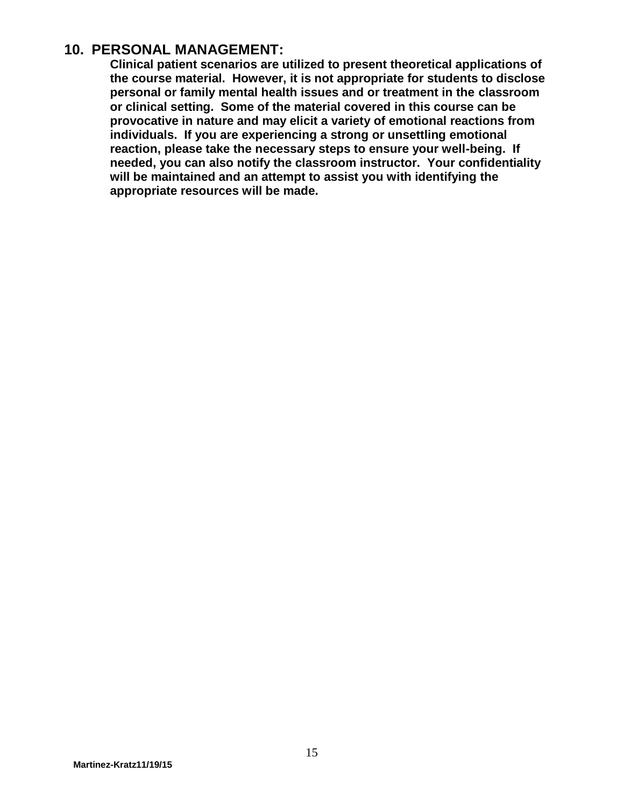### **10. PERSONAL MANAGEMENT:**

**Clinical patient scenarios are utilized to present theoretical applications of the course material. However, it is not appropriate for students to disclose personal or family mental health issues and or treatment in the classroom or clinical setting. Some of the material covered in this course can be provocative in nature and may elicit a variety of emotional reactions from individuals. If you are experiencing a strong or unsettling emotional reaction, please take the necessary steps to ensure your well-being. If needed, you can also notify the classroom instructor. Your confidentiality will be maintained and an attempt to assist you with identifying the appropriate resources will be made.**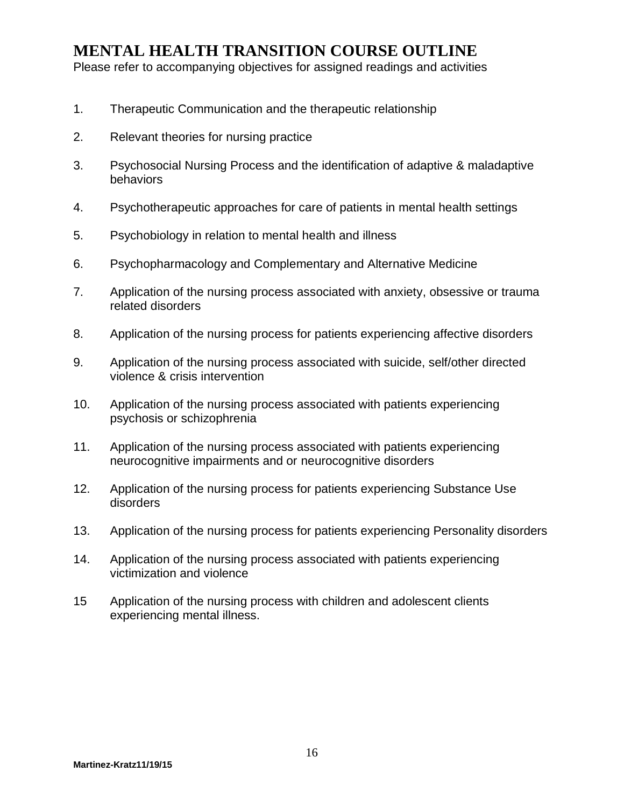### **MENTAL HEALTH TRANSITION COURSE OUTLINE**

Please refer to accompanying objectives for assigned readings and activities

- 1. Therapeutic Communication and the therapeutic relationship
- 2. Relevant theories for nursing practice
- 3. Psychosocial Nursing Process and the identification of adaptive & maladaptive behaviors
- 4. Psychotherapeutic approaches for care of patients in mental health settings
- 5. Psychobiology in relation to mental health and illness
- 6. Psychopharmacology and Complementary and Alternative Medicine
- 7. Application of the nursing process associated with anxiety, obsessive or trauma related disorders
- 8. Application of the nursing process for patients experiencing affective disorders
- 9. Application of the nursing process associated with suicide, self/other directed violence & crisis intervention
- 10. Application of the nursing process associated with patients experiencing psychosis or schizophrenia
- 11. Application of the nursing process associated with patients experiencing neurocognitive impairments and or neurocognitive disorders
- 12. Application of the nursing process for patients experiencing Substance Use disorders
- 13. Application of the nursing process for patients experiencing Personality disorders
- 14. Application of the nursing process associated with patients experiencing victimization and violence
- 15 Application of the nursing process with children and adolescent clients experiencing mental illness.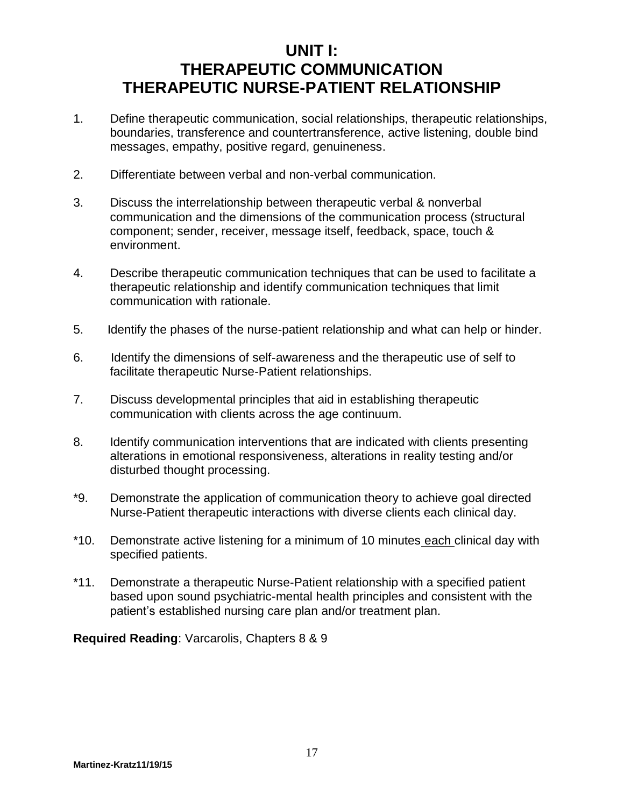## **UNIT I: THERAPEUTIC COMMUNICATION THERAPEUTIC NURSE-PATIENT RELATIONSHIP**

- 1. Define therapeutic communication, social relationships, therapeutic relationships, boundaries, transference and countertransference, active listening, double bind messages, empathy, positive regard, genuineness.
- 2. Differentiate between verbal and non-verbal communication.
- 3. Discuss the interrelationship between therapeutic verbal & nonverbal communication and the dimensions of the communication process (structural component; sender, receiver, message itself, feedback, space, touch & environment.
- 4. Describe therapeutic communication techniques that can be used to facilitate a therapeutic relationship and identify communication techniques that limit communication with rationale.
- 5. Identify the phases of the nurse-patient relationship and what can help or hinder.
- 6. Identify the dimensions of self-awareness and the therapeutic use of self to facilitate therapeutic Nurse-Patient relationships.
- 7. Discuss developmental principles that aid in establishing therapeutic communication with clients across the age continuum.
- 8. Identify communication interventions that are indicated with clients presenting alterations in emotional responsiveness, alterations in reality testing and/or disturbed thought processing.
- \*9. Demonstrate the application of communication theory to achieve goal directed Nurse-Patient therapeutic interactions with diverse clients each clinical day.
- \*10. Demonstrate active listening for a minimum of 10 minutes each clinical day with specified patients.
- \*11. Demonstrate a therapeutic Nurse-Patient relationship with a specified patient based upon sound psychiatric-mental health principles and consistent with the patient's established nursing care plan and/or treatment plan.

**Required Reading**: Varcarolis, Chapters 8 & 9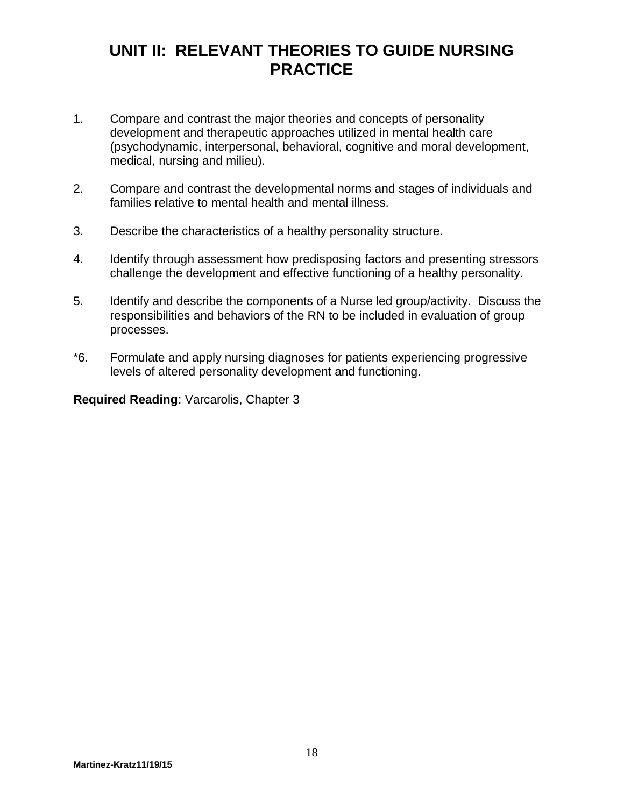## **UNIT II: RELEVANT THEORIES TO GUIDE NURSING PRACTICE**

- 1. Compare and contrast the major theories and concepts of personality development and therapeutic approaches utilized in mental health care (psychodynamic, interpersonal, behavioral, cognitive and moral development, medical, nursing and milieu).
- 2. Compare and contrast the developmental norms and stages of individuals and families relative to mental health and mental illness.
- 3. Describe the characteristics of a healthy personality structure.
- 4. Identify through assessment how predisposing factors and presenting stressors challenge the development and effective functioning of a healthy personality.
- 5. Identify and describe the components of a Nurse led group/activity. Discuss the responsibilities and behaviors of the RN to be included in evaluation of group processes.
- \*6. Formulate and apply nursing diagnoses for patients experiencing progressive levels of altered personality development and functioning.

**Required Reading**: Varcarolis, Chapter 3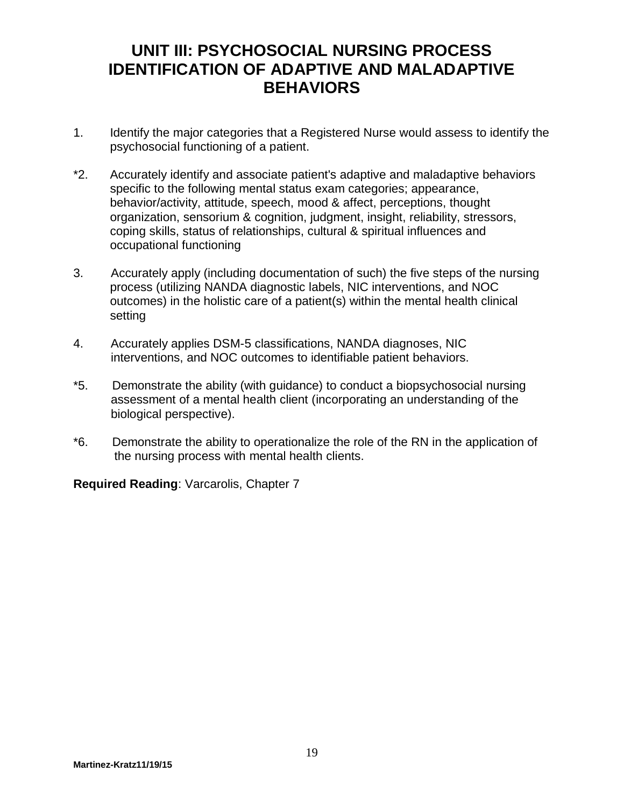## **UNIT III: PSYCHOSOCIAL NURSING PROCESS IDENTIFICATION OF ADAPTIVE AND MALADAPTIVE BEHAVIORS**

- 1. Identify the major categories that a Registered Nurse would assess to identify the psychosocial functioning of a patient.
- \*2. Accurately identify and associate patient's adaptive and maladaptive behaviors specific to the following mental status exam categories; appearance, behavior/activity, attitude, speech, mood & affect, perceptions, thought organization, sensorium & cognition, judgment, insight, reliability, stressors, coping skills, status of relationships, cultural & spiritual influences and occupational functioning
- 3. Accurately apply (including documentation of such) the five steps of the nursing process (utilizing NANDA diagnostic labels, NIC interventions, and NOC outcomes) in the holistic care of a patient(s) within the mental health clinical setting
- 4. Accurately applies DSM-5 classifications, NANDA diagnoses, NIC interventions, and NOC outcomes to identifiable patient behaviors.
- \*5. Demonstrate the ability (with guidance) to conduct a biopsychosocial nursing assessment of a mental health client (incorporating an understanding of the biological perspective).
- \*6. Demonstrate the ability to operationalize the role of the RN in the application of the nursing process with mental health clients.

**Required Reading**: Varcarolis, Chapter 7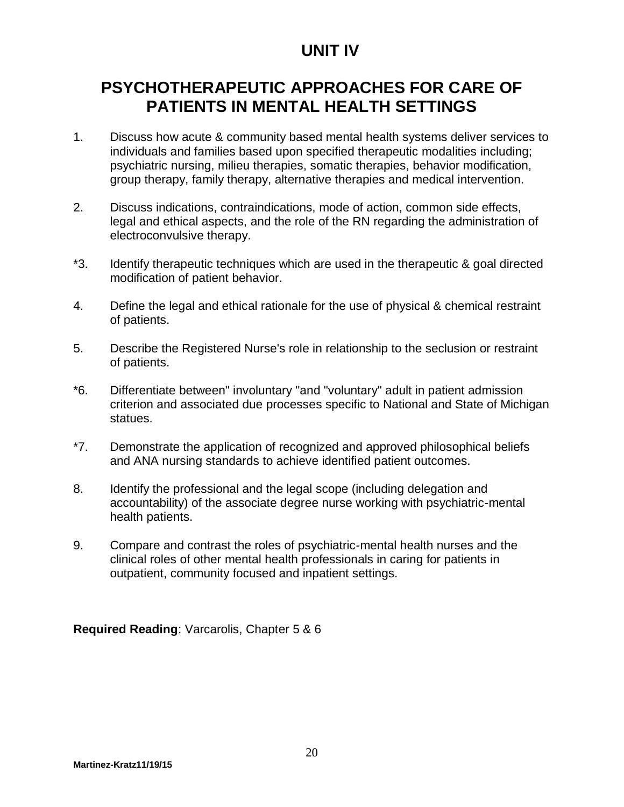## **UNIT IV**

# **PSYCHOTHERAPEUTIC APPROACHES FOR CARE OF PATIENTS IN MENTAL HEALTH SETTINGS**

- 1. Discuss how acute & community based mental health systems deliver services to individuals and families based upon specified therapeutic modalities including; psychiatric nursing, milieu therapies, somatic therapies, behavior modification, group therapy, family therapy, alternative therapies and medical intervention.
- 2. Discuss indications, contraindications, mode of action, common side effects, legal and ethical aspects, and the role of the RN regarding the administration of electroconvulsive therapy.
- \*3. Identify therapeutic techniques which are used in the therapeutic & goal directed modification of patient behavior.
- 4. Define the legal and ethical rationale for the use of physical & chemical restraint of patients.
- 5. Describe the Registered Nurse's role in relationship to the seclusion or restraint of patients.
- \*6. Differentiate between" involuntary "and "voluntary" adult in patient admission criterion and associated due processes specific to National and State of Michigan statues.
- \*7. Demonstrate the application of recognized and approved philosophical beliefs and ANA nursing standards to achieve identified patient outcomes.
- 8. Identify the professional and the legal scope (including delegation and accountability) of the associate degree nurse working with psychiatric-mental health patients.
- 9. Compare and contrast the roles of psychiatric-mental health nurses and the clinical roles of other mental health professionals in caring for patients in outpatient, community focused and inpatient settings.

**Required Reading**: Varcarolis, Chapter 5 & 6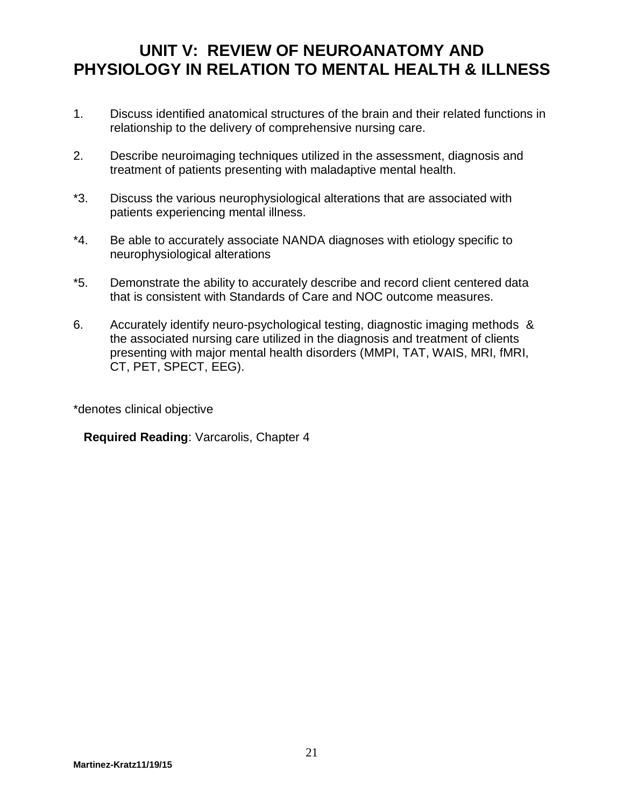## **UNIT V: REVIEW OF NEUROANATOMY AND PHYSIOLOGY IN RELATION TO MENTAL HEALTH & ILLNESS**

- 1. Discuss identified anatomical structures of the brain and their related functions in relationship to the delivery of comprehensive nursing care.
- 2. Describe neuroimaging techniques utilized in the assessment, diagnosis and treatment of patients presenting with maladaptive mental health.
- \*3. Discuss the various neurophysiological alterations that are associated with patients experiencing mental illness.
- \*4. Be able to accurately associate NANDA diagnoses with etiology specific to neurophysiological alterations
- \*5. Demonstrate the ability to accurately describe and record client centered data that is consistent with Standards of Care and NOC outcome measures.
- 6. Accurately identify neuro-psychological testing, diagnostic imaging methods & the associated nursing care utilized in the diagnosis and treatment of clients presenting with major mental health disorders (MMPI, TAT, WAIS, MRI, fMRI, CT, PET, SPECT, EEG).

\*denotes clinical objective

**Required Reading**: Varcarolis, Chapter 4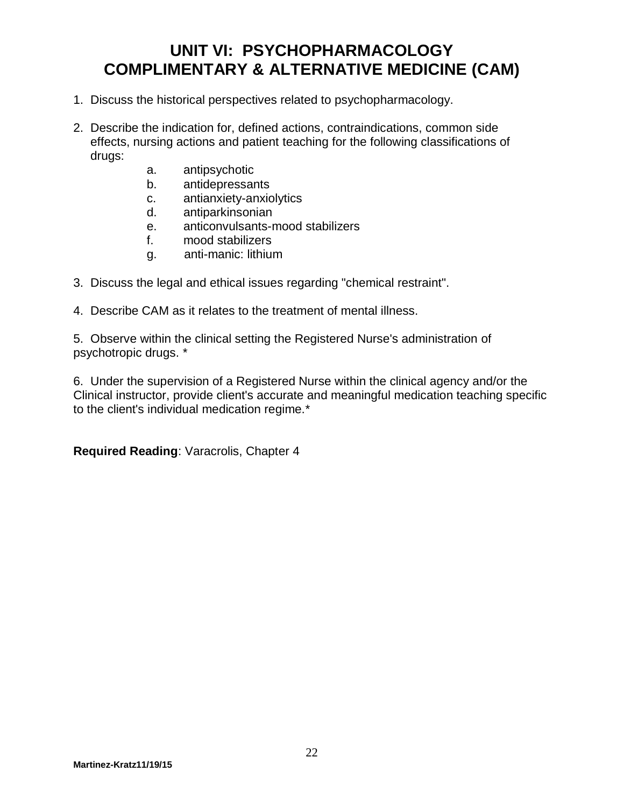## **UNIT VI: PSYCHOPHARMACOLOGY COMPLIMENTARY & ALTERNATIVE MEDICINE (CAM)**

- 1. Discuss the historical perspectives related to psychopharmacology.
- 2. Describe the indication for, defined actions, contraindications, common side effects, nursing actions and patient teaching for the following classifications of drugs:
	- a. antipsychotic
	-
	- b. antidepressants<br>c. antianxiety-anxic antianxiety-anxiolytics
	- d. antiparkinsonian
	- e. anticonvulsants-mood stabilizers
	- f. mood stabilizers
	- g. anti-manic: lithium
- 3. Discuss the legal and ethical issues regarding "chemical restraint".
- 4. Describe CAM as it relates to the treatment of mental illness.

5. Observe within the clinical setting the Registered Nurse's administration of psychotropic drugs. \*

6. Under the supervision of a Registered Nurse within the clinical agency and/or the Clinical instructor, provide client's accurate and meaningful medication teaching specific to the client's individual medication regime.\*

**Required Reading**: Varacrolis, Chapter 4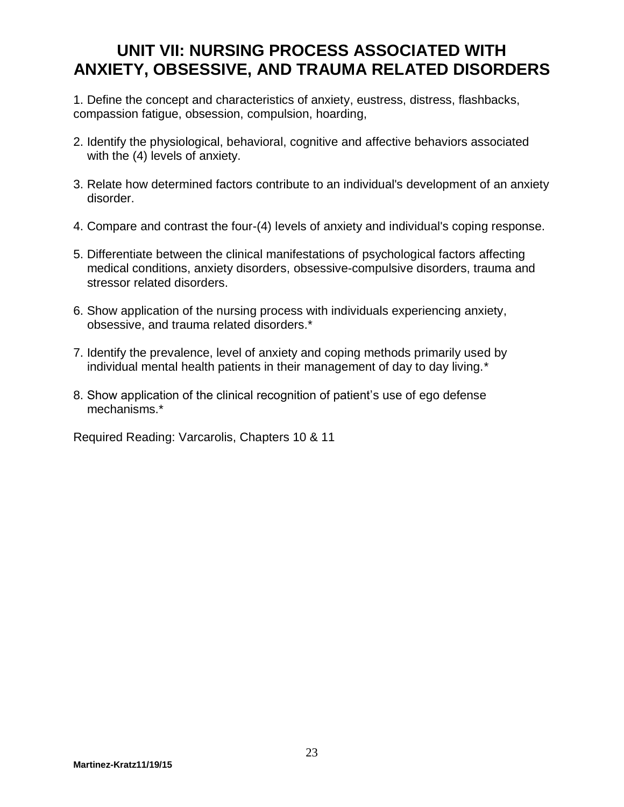## **UNIT VII: NURSING PROCESS ASSOCIATED WITH ANXIETY, OBSESSIVE, AND TRAUMA RELATED DISORDERS**

1. Define the concept and characteristics of anxiety, eustress, distress, flashbacks, compassion fatigue, obsession, compulsion, hoarding,

- 2. Identify the physiological, behavioral, cognitive and affective behaviors associated with the (4) levels of anxiety.
- 3. Relate how determined factors contribute to an individual's development of an anxiety disorder.
- 4. Compare and contrast the four-(4) levels of anxiety and individual's coping response.
- 5. Differentiate between the clinical manifestations of psychological factors affecting medical conditions, anxiety disorders, obsessive-compulsive disorders, trauma and stressor related disorders.
- 6. Show application of the nursing process with individuals experiencing anxiety, obsessive, and trauma related disorders.\*
- 7. Identify the prevalence, level of anxiety and coping methods primarily used by individual mental health patients in their management of day to day living.\*
- 8. Show application of the clinical recognition of patient's use of ego defense mechanisms.\*

Required Reading: Varcarolis, Chapters 10 & 11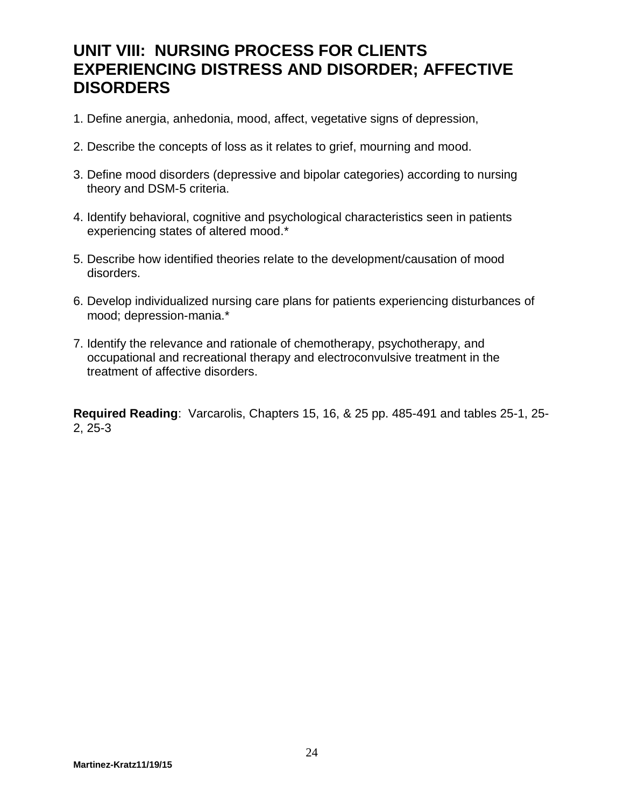## **UNIT VIII: NURSING PROCESS FOR CLIENTS EXPERIENCING DISTRESS AND DISORDER; AFFECTIVE DISORDERS**

- 1. Define anergia, anhedonia, mood, affect, vegetative signs of depression,
- 2. Describe the concepts of loss as it relates to grief, mourning and mood.
- 3. Define mood disorders (depressive and bipolar categories) according to nursing theory and DSM-5 criteria.
- 4. Identify behavioral, cognitive and psychological characteristics seen in patients experiencing states of altered mood.\*
- 5. Describe how identified theories relate to the development/causation of mood disorders.
- 6. Develop individualized nursing care plans for patients experiencing disturbances of mood; depression-mania.\*
- 7. Identify the relevance and rationale of chemotherapy, psychotherapy, and occupational and recreational therapy and electroconvulsive treatment in the treatment of affective disorders.

**Required Reading**: Varcarolis, Chapters 15, 16, & 25 pp. 485-491 and tables 25-1, 25- 2, 25-3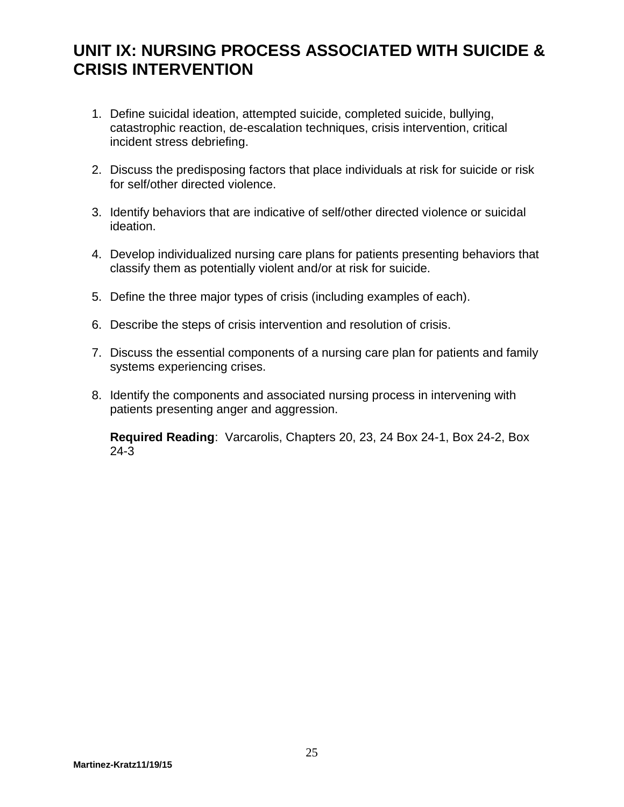# **UNIT IX: NURSING PROCESS ASSOCIATED WITH SUICIDE & CRISIS INTERVENTION**

- 1. Define suicidal ideation, attempted suicide, completed suicide, bullying, catastrophic reaction, de-escalation techniques, crisis intervention, critical incident stress debriefing.
- 2. Discuss the predisposing factors that place individuals at risk for suicide or risk for self/other directed violence.
- 3. Identify behaviors that are indicative of self/other directed violence or suicidal ideation.
- 4. Develop individualized nursing care plans for patients presenting behaviors that classify them as potentially violent and/or at risk for suicide.
- 5. Define the three major types of crisis (including examples of each).
- 6. Describe the steps of crisis intervention and resolution of crisis.
- 7. Discuss the essential components of a nursing care plan for patients and family systems experiencing crises.
- 8. Identify the components and associated nursing process in intervening with patients presenting anger and aggression.

**Required Reading**: Varcarolis, Chapters 20, 23, 24 Box 24-1, Box 24-2, Box 24-3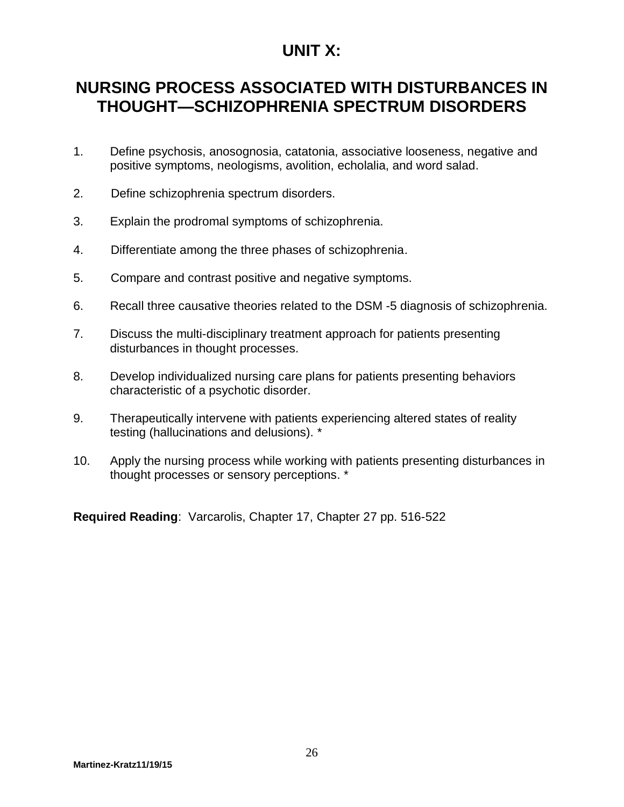### **UNIT X:**

# **NURSING PROCESS ASSOCIATED WITH DISTURBANCES IN THOUGHT—SCHIZOPHRENIA SPECTRUM DISORDERS**

- 1. Define psychosis, anosognosia, catatonia, associative looseness, negative and positive symptoms, neologisms, avolition, echolalia, and word salad.
- 2. Define schizophrenia spectrum disorders.
- 3. Explain the prodromal symptoms of schizophrenia.
- 4. Differentiate among the three phases of schizophrenia.
- 5. Compare and contrast positive and negative symptoms.
- 6. Recall three causative theories related to the DSM -5 diagnosis of schizophrenia.
- 7. Discuss the multi-disciplinary treatment approach for patients presenting disturbances in thought processes.
- 8. Develop individualized nursing care plans for patients presenting behaviors characteristic of a psychotic disorder.
- 9. Therapeutically intervene with patients experiencing altered states of reality testing (hallucinations and delusions). \*
- 10. Apply the nursing process while working with patients presenting disturbances in thought processes or sensory perceptions. \*

**Required Reading**: Varcarolis, Chapter 17, Chapter 27 pp. 516-522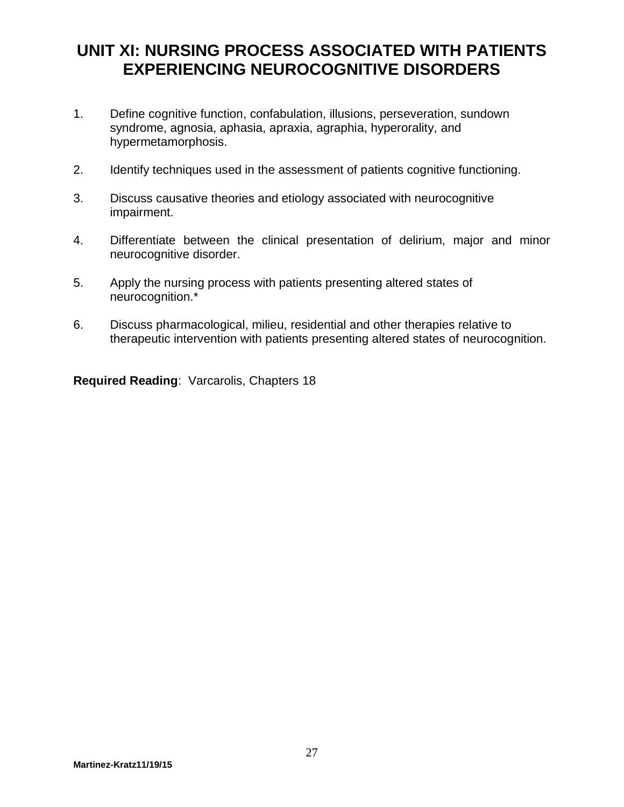## **UNIT XI: NURSING PROCESS ASSOCIATED WITH PATIENTS EXPERIENCING NEUROCOGNITIVE DISORDERS**

- 1. Define cognitive function, confabulation, illusions, perseveration, sundown syndrome, agnosia, aphasia, apraxia, agraphia, hyperorality, and hypermetamorphosis.
- 2. Identify techniques used in the assessment of patients cognitive functioning.
- 3. Discuss causative theories and etiology associated with neurocognitive impairment.
- 4. Differentiate between the clinical presentation of delirium, major and minor neurocognitive disorder.
- 5. Apply the nursing process with patients presenting altered states of neurocognition.\*
- 6. Discuss pharmacological, milieu, residential and other therapies relative to therapeutic intervention with patients presenting altered states of neurocognition.

**Required Reading**: Varcarolis, Chapters 18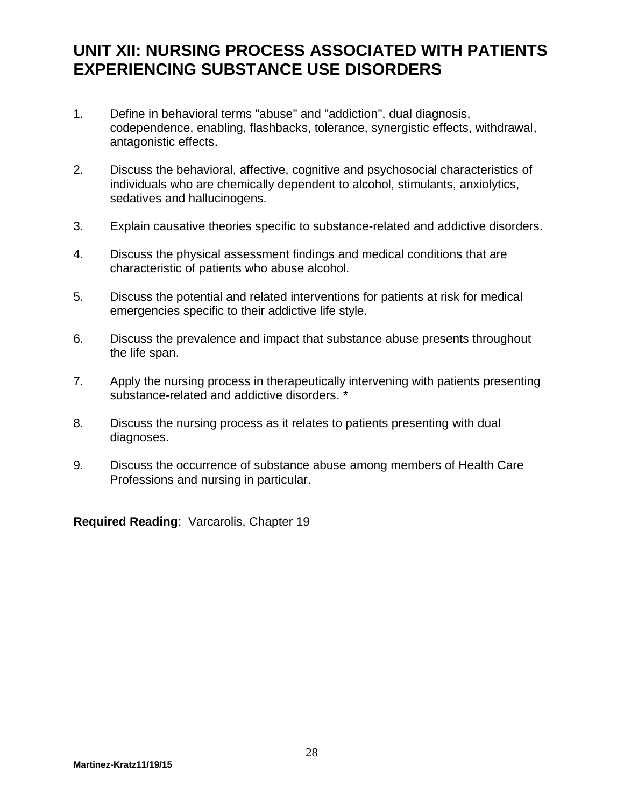## **UNIT XII: NURSING PROCESS ASSOCIATED WITH PATIENTS EXPERIENCING SUBSTANCE USE DISORDERS**

- 1. Define in behavioral terms "abuse" and "addiction", dual diagnosis, codependence, enabling, flashbacks, tolerance, synergistic effects, withdrawal, antagonistic effects.
- 2. Discuss the behavioral, affective, cognitive and psychosocial characteristics of individuals who are chemically dependent to alcohol, stimulants, anxiolytics, sedatives and hallucinogens.
- 3. Explain causative theories specific to substance-related and addictive disorders.
- 4. Discuss the physical assessment findings and medical conditions that are characteristic of patients who abuse alcohol.
- 5. Discuss the potential and related interventions for patients at risk for medical emergencies specific to their addictive life style.
- 6. Discuss the prevalence and impact that substance abuse presents throughout the life span.
- 7. Apply the nursing process in therapeutically intervening with patients presenting substance-related and addictive disorders. \*
- 8. Discuss the nursing process as it relates to patients presenting with dual diagnoses.
- 9. Discuss the occurrence of substance abuse among members of Health Care Professions and nursing in particular.

**Required Reading**: Varcarolis, Chapter 19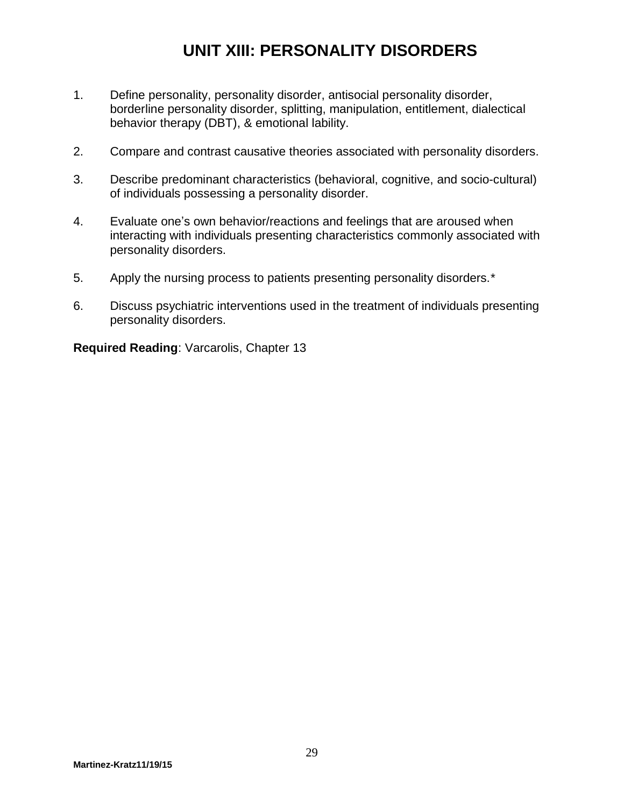# **UNIT XIII: PERSONALITY DISORDERS**

- 1. Define personality, personality disorder, antisocial personality disorder, borderline personality disorder, splitting, manipulation, entitlement, dialectical behavior therapy (DBT), & emotional lability.
- 2. Compare and contrast causative theories associated with personality disorders.
- 3. Describe predominant characteristics (behavioral, cognitive, and socio-cultural) of individuals possessing a personality disorder.
- 4. Evaluate one's own behavior/reactions and feelings that are aroused when interacting with individuals presenting characteristics commonly associated with personality disorders.
- 5. Apply the nursing process to patients presenting personality disorders.\*
- 6. Discuss psychiatric interventions used in the treatment of individuals presenting personality disorders.

**Required Reading**: Varcarolis, Chapter 13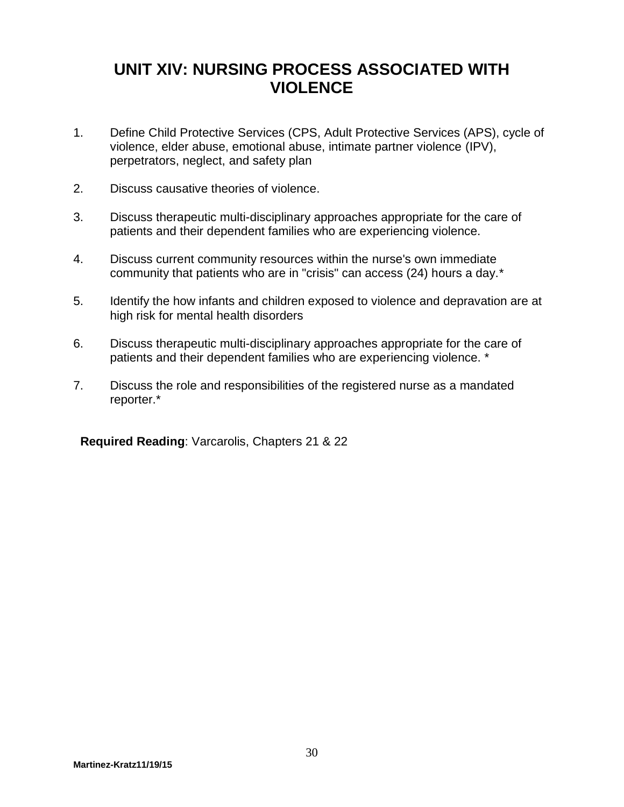# **UNIT XIV: NURSING PROCESS ASSOCIATED WITH VIOLENCE**

- 1. Define Child Protective Services (CPS, Adult Protective Services (APS), cycle of violence, elder abuse, emotional abuse, intimate partner violence (IPV), perpetrators, neglect, and safety plan
- 2. Discuss causative theories of violence.
- 3. Discuss therapeutic multi-disciplinary approaches appropriate for the care of patients and their dependent families who are experiencing violence.
- 4. Discuss current community resources within the nurse's own immediate community that patients who are in "crisis" can access (24) hours a day.\*
- 5. Identify the how infants and children exposed to violence and depravation are at high risk for mental health disorders
- 6. Discuss therapeutic multi-disciplinary approaches appropriate for the care of patients and their dependent families who are experiencing violence. \*
- 7. Discuss the role and responsibilities of the registered nurse as a mandated reporter.\*

**Required Reading**: Varcarolis, Chapters 21 & 22